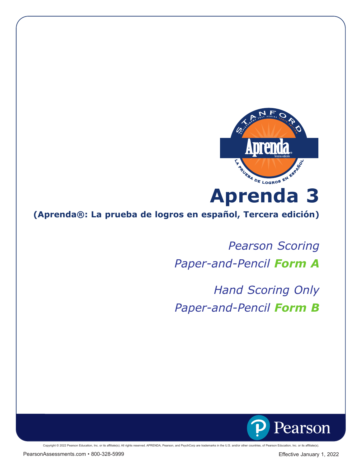

**(Aprenda®: La prueba de logros en español, Tercera edición)**

*Pearson Scoring Paper-and-Pencil Form A* 

*Hand Scoring Only Paper-and-Pencil Form B*

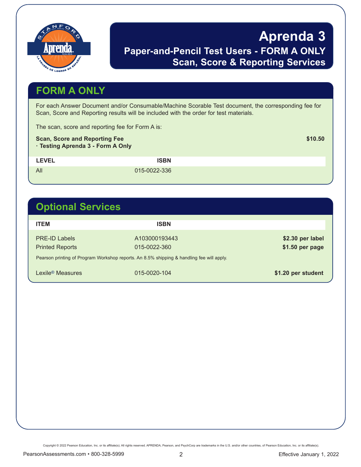

## **Aprenda 3 Paper-and-Pencil Test Users - FORM A ONLY Scan, Score & Reporting Services**

## **FORM A ONLY**

For each Answer Document and/or Consumable/Machine Scorable Test document, the corresponding fee for Scan, Score and Reporting results will be included with the order for test materials.

The scan, score and reporting fee for Form A is:

#### **Scan, Score and Reporting Fee \$10.50**  $\leq$  \$10.50

**· Testing Aprenda 3 - Form A Only**

LEVEL **ISBN** 

All 015-0022-336

## **Optional Services**

| <b>ITEM</b>                                    | <b>ISBN</b>                                                                               |                                     |
|------------------------------------------------|-------------------------------------------------------------------------------------------|-------------------------------------|
| <b>PRE-ID Labels</b><br><b>Printed Reports</b> | A103000193443<br>015-0022-360                                                             | \$2.30 per label<br>\$1.50 per page |
|                                                | Pearson printing of Program Workshop reports. An 8.5% shipping & handling fee will apply. |                                     |
| Lexile <sup>®</sup> Measures                   | 015-0020-104                                                                              | \$1.20 per student                  |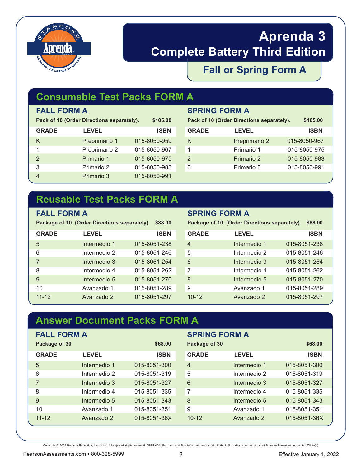

# **Aprenda 3 Complete Battery Third Edition**

### **Fall or Spring Form A**

## **Consumable Test Packs FORM A**

| Pack of 10 (Order Directions separately). | \$105.00      |              |
|-------------------------------------------|---------------|--------------|
| <b>GRADE</b>                              | <b>LEVEL</b>  | <b>ISBN</b>  |
| K                                         | Preprimario 1 | 015-8050-959 |
| 1                                         | Preprimario 2 | 015-8050-967 |
| $\mathcal{P}$                             | Primario 1    | 015-8050-975 |
| 3                                         | Primario 2    | 015-8050-983 |
|                                           | Primario 3    | 015-8050-991 |

#### **FALL FORM A SPRING FORM A**

| Pack of 10 (Order Directions separately). | \$105.00      |              |
|-------------------------------------------|---------------|--------------|
| <b>GRADE</b>                              | <b>LEVEL</b>  | <b>ISBN</b>  |
| Κ                                         | Preprimario 2 | 015-8050-967 |
|                                           | Primario 1    | 015-8050-975 |
| 2                                         | Primario 2    | 015-8050-983 |
| 3                                         | Primario 3    | 015-8050-991 |
|                                           |               |              |

### **Reusable Test Packs FORM A**

**Package of 10. (Order Directions separately). \$88.00**

| <b>GRADE</b> | <b>LEVEL</b> | <b>ISBN</b>  |
|--------------|--------------|--------------|
| 5            | Intermedio 1 | 015-8051-238 |
| 6            | Intermedio 2 | 015-8051-246 |
| 7            | Intermedio 3 | 015-8051-254 |
| 8            | Intermedio 4 | 015-8051-262 |
| 9            | Intermedio 5 | 015-8051-270 |
| 10           | Avanzado 1   | 015-8051-289 |
| $11 - 12$    | Avanzado 2   | 015-8051-297 |

#### **FALL FORM A SPRING FORM A**

**Package of 10. (Order Directions separately). \$88.00**

| <b>GRADE</b> | <b>LEVEL</b> | <b>ISBN</b>  |
|--------------|--------------|--------------|
| 4            | Intermedio 1 | 015-8051-238 |
| 5            | Intermedio 2 | 015-8051-246 |
| 6            | Intermedio 3 | 015-8051-254 |
| 7            | Intermedio 4 | 015-8051-262 |
| 8            | Intermedio 5 | 015-8051-270 |
| 9            | Avanzado 1   | 015-8051-289 |
| $10 - 12$    | Avanzado 2   | 015-8051-297 |

## **Answer Document Packs FORM A**

| <b>FALL FORM A</b><br>Package of 30 |              | \$68,00      | <b>SPRING FORM A</b><br>Package of 30 |              | \$68,00      |
|-------------------------------------|--------------|--------------|---------------------------------------|--------------|--------------|
| <b>GRADE</b>                        | <b>LEVEL</b> | <b>ISBN</b>  | <b>GRADE</b>                          | <b>LEVEL</b> | <b>ISBN</b>  |
| 5                                   | Intermedio 1 | 015-8051-300 | 4                                     | Intermedio 1 | 015-8051-300 |
| 6                                   | Intermedio 2 | 015-8051-319 | 5                                     | Intermedio 2 | 015-8051-319 |
| 7                                   | Intermedio 3 | 015-8051-327 | 6                                     | Intermedio 3 | 015-8051-327 |
| 8                                   | Intermedio 4 | 015-8051-335 | 7                                     | Intermedio 4 | 015-8051-335 |
| 9                                   | Intermedio 5 | 015-8051-343 | 8                                     | Intermedio 5 | 015-8051-343 |
| 10                                  | Avanzado 1   | 015-8051-351 | 9                                     | Avanzado 1   | 015-8051-351 |
| $11 - 12$                           | Avanzado 2   | 015-8051-36X | $10 - 12$                             | Avanzado 2   | 015-8051-36X |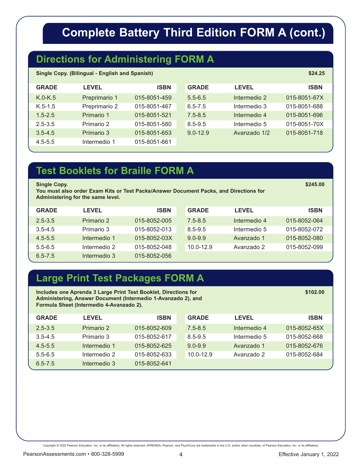# **Complete Battery Third Edition FORM A (cont.)**

### **Directions for Administering FORM A**

| <b>Single Copy. (Bilingual - English and Spanish)</b> | \$24.25 |
|-------------------------------------------------------|---------|
|-------------------------------------------------------|---------|

| <b>GRADE</b> | <b>LEVEL</b>  | <b>ISBN</b>  | <b>GRADE</b> | <b>LEVEL</b> | <b>ISBN</b>  |
|--------------|---------------|--------------|--------------|--------------|--------------|
| $K.0-K.5$    | Preprimario 1 | 015-8051-459 | $5.5 - 6.5$  | Intermedio 2 | 015-8051-67X |
| $K.5-1.5$    | Preprimario 2 | 015-8051-467 | $6.5 - 7.5$  | Intermedio 3 | 015-8051-688 |
| $1.5 - 2.5$  | Primario 1    | 015-8051-521 | $7.5 - 8.5$  | Intermedio 4 | 015-8051-696 |
| $2.5 - 3.5$  | Primario 2    | 015-8051-580 | $8.5 - 9.5$  | Intermedio 5 | 015-8051-70X |
| $3.5 - 4.5$  | Primario 3    | 015-8051-653 | $9.0 - 12.9$ | Avanzado 1/2 | 015-8051-718 |
| $4.5 - 5.5$  | Intermedio 1  | 015-8051-661 |              |              |              |

#### **Test Booklets for Braille FORM A**

**Single Copy.** \$245.00 \$245.00 \$245.00 \$245.00 \$245.00 \$245.00 \$245.00 \$245.00 \$245.00 \$245.00 \$245.00 \$245.00 \$245

**You must also order Exam Kits or Test Packs/Answer Document Packs, and Directions for Administering for the same level.**

| <b>GRADE</b> | <b>LEVEL</b> | <b>ISBN</b>  | <b>GRADE</b>  | <b>LEVEL</b> | <b>ISBN</b>  |
|--------------|--------------|--------------|---------------|--------------|--------------|
| $2.5 - 3.5$  | Primario 2   | 015-8052-005 | $7.5 - 8.5$   | Intermedio 4 | 015-8052-064 |
| $3.5 - 4.5$  | Primario 3   | 015-8052-013 | 8.5-9.5       | Intermedio 5 | 015-8052-072 |
| $4.5 - 5.5$  | Intermedio 1 | 015-8052-03X | $9.0 - 9.9$   | Avanzado 1   | 015-8052-080 |
| $5.5 - 6.5$  | Intermedio 2 | 015-8052-048 | $10.0 - 12.9$ | Avanzado 2   | 015-8052-099 |
| $6.5 - 7.5$  | Intermedio 3 | 015-8052-056 |               |              |              |

### **Large Print Test Packages FORM A**

| Includes one Aprenda 3 Large Print Test Booklet, Directions for<br>Administering, Answer Document (Intermedio 1-Avanzado 2), and<br>Formula Sheet (Intermedio 4-Avanzado 2). | \$102.00     |              |               |              |              |
|------------------------------------------------------------------------------------------------------------------------------------------------------------------------------|--------------|--------------|---------------|--------------|--------------|
| <b>GRADE</b>                                                                                                                                                                 | <b>LEVEL</b> | ISBN         | <b>GRADE</b>  | <b>LEVEL</b> | <b>ISBN</b>  |
| $2.5 - 3.5$                                                                                                                                                                  | Primario 2   | 015-8052-609 | $7.5 - 8.5$   | Intermedio 4 | 015-8052-65X |
| $3.5 - 4.5$                                                                                                                                                                  | Primario 3   | 015-8052-617 | $8.5 - 9.5$   | Intermedio 5 | 015-8052-668 |
| $4.5 - 5.5$                                                                                                                                                                  | Intermedio 1 | 015-8052-625 | $9.0 - 9.9$   | Avanzado 1   | 015-8052-676 |
| $5.5 - 6.5$                                                                                                                                                                  | Intermedio 2 | 015-8052-633 | $10.0 - 12.9$ | Avanzado 2   | 015-8052-684 |
| $6.5 - 7.5$                                                                                                                                                                  | Intermedio 3 | 015-8052-641 |               |              |              |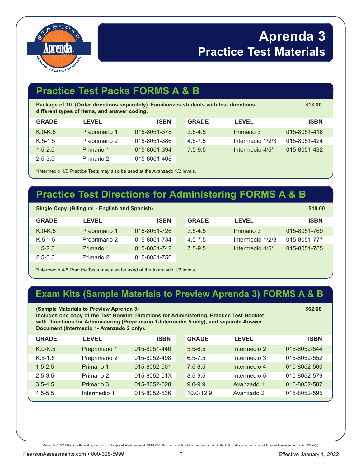

# **Aprenda 3 Practice Test Materials**

## **Practice Test Packs FORMS A & B**

| Package of 10. (Order directions separately). Familiarizes students with test directions,<br>different types of items, and answer coding. | \$13.00       |              |              |                  |              |
|-------------------------------------------------------------------------------------------------------------------------------------------|---------------|--------------|--------------|------------------|--------------|
| <b>GRADE</b>                                                                                                                              | <b>LEVEL</b>  | <b>ISBN</b>  | <b>GRADE</b> | <b>LEVEL</b>     | <b>ISBN</b>  |
| $K.0-K.5$                                                                                                                                 | Preprimario 1 | 015-8051-378 | $3.5 - 4.5$  | Primario 3       | 015-8051-416 |
| $K.5-1.5$                                                                                                                                 | Preprimario 2 | 015-8051-386 | $4.5 - 7.5$  | Intermedio 1/2/3 | 015-8051-424 |
| $1.5 - 2.5$                                                                                                                               | Primario 1    | 015-8051-394 | $7.5 - 9.5$  | Intermedio 4/5*  | 015-8051-432 |
| $2.5 - 3.5$                                                                                                                               | Primario 2    | 015-8051-408 |              |                  |              |

\*Intermedio 4/5 Practice Tests may also be used at the Avanzado 1/2 levels.

## **Practice Test Directions for Administering FORMS A & B**

| <b>Single Copy. (Bilingual - English and Spanish)</b> |               |              |              |                             |              |
|-------------------------------------------------------|---------------|--------------|--------------|-----------------------------|--------------|
| <b>GRADE</b>                                          | <b>LEVEL</b>  | <b>ISBN</b>  | <b>GRADE</b> | <b>LEVEL</b>                | <b>ISBN</b>  |
| $K.0-K.5$                                             | Preprimario 1 | 015-8051-726 | $3.5 - 4.5$  | Primario 3                  | 015-8051-769 |
| $K.5-1.5$                                             | Preprimario 2 | 015-8051-734 | $4.5 - 7.5$  | Intermedio 1/2/3            | 015-8051-777 |
| $1.5 - 2.5$                                           | Primario 1    | 015-8051-742 | $7.5 - 9.5$  | Intermedio 4/5 <sup>*</sup> | 015-8051-785 |
| $2.5 - 3.5$                                           | Primario 2    | 015-8051-750 |              |                             |              |

\*Intermedio 4/5 Practice Tests may also be used at the Avanzado 1/2 levels.

#### **Exam Kits (Sample Materials to Preview Aprenda 3) FORMS A & B**

| (Sample Materials to Preview Aprenda 3)<br>\$62.00<br>Includes one copy of the Test Booklet, Directions for Administering, Practice Test Booklet<br>with Directions for Administering (Preprimario 1-Intermedio 5 only), and separate Answer<br>Document (Intermedio 1- Avanzado 2 only). |               |              |              |              |              |
|-------------------------------------------------------------------------------------------------------------------------------------------------------------------------------------------------------------------------------------------------------------------------------------------|---------------|--------------|--------------|--------------|--------------|
| <b>GRADE</b>                                                                                                                                                                                                                                                                              | <b>LEVEL</b>  | <b>ISBN</b>  | <b>GRADE</b> | <b>LEVEL</b> | <b>ISBN</b>  |
| $K.0-K.5$                                                                                                                                                                                                                                                                                 | Preprimario 1 | 015-8051-440 | $5.5 - 6.5$  | Intermedio 2 | 015-8052-544 |
| $K.5-1.5$                                                                                                                                                                                                                                                                                 | Preprimario 2 | 015-8052-498 | $6.5 - 7.5$  | Intermedio 3 | 015-8052-552 |
| $1.5 - 2.5$                                                                                                                                                                                                                                                                               | Primario 1    | 015-8052-501 | $7.5 - 8.5$  | Intermedio 4 | 015-8052-560 |
| $2.5 - 3.5$                                                                                                                                                                                                                                                                               | Primario 2    | 015-8052-51X | $8.5 - 9.5$  | Intermedio 5 | 015-8052-579 |
| $3.5 - 4.5$                                                                                                                                                                                                                                                                               | Primario 3    | 015-8052-528 | $9.0 - 9.9$  | Avanzado 1   | 015-8052-587 |
| $4.5 - 5.5$                                                                                                                                                                                                                                                                               | Intermedio 1  | 015-8052-536 | 10.0-12.9    | Avanzado 2   | 015-8052-595 |
|                                                                                                                                                                                                                                                                                           |               |              |              |              |              |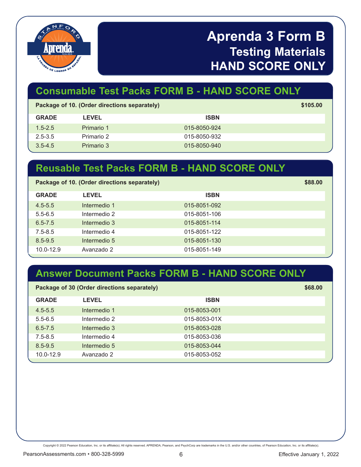

# **Aprenda 3 Form B Testing Materials HAND SCORE ONLY**

## **Consumable Test Packs FORM B - HAND SCORE ONLY**

| Package of 10. (Order directions separately) |              |              |  |  |
|----------------------------------------------|--------------|--------------|--|--|
| <b>GRADE</b>                                 | <b>LEVEL</b> | <b>ISBN</b>  |  |  |
| $1.5 - 2.5$                                  | Primario 1   | 015-8050-924 |  |  |
| $2.5 - 3.5$                                  | Primario 2   | 015-8050-932 |  |  |
| $3.5 - 4.5$                                  | Primario 3   | 015-8050-940 |  |  |

#### **Reusable Test Packs FORM B - HAND SCORE ONLY**

| Package of 10. (Order directions separately) |              |              |  |
|----------------------------------------------|--------------|--------------|--|
| <b>GRADE</b>                                 | <b>LEVEL</b> | <b>ISBN</b>  |  |
| $4.5 - 5.5$                                  | Intermedio 1 | 015-8051-092 |  |
| $5.5 - 6.5$                                  | Intermedio 2 | 015-8051-106 |  |
| $6.5 - 7.5$                                  | Intermedio 3 | 015-8051-114 |  |
| $7.5 - 8.5$                                  | Intermedio 4 | 015-8051-122 |  |
| $8.5 - 9.5$                                  | Intermedio 5 | 015-8051-130 |  |
| $10.0 - 12.9$                                | Avanzado 2   | 015-8051-149 |  |

### **Answer Document Packs FORM B - HAND SCORE ONLY**

| Package of 30 (Order directions separately) |              | \$68.00 |
|---------------------------------------------|--------------|---------|
| <b>LEVEL</b>                                | <b>ISBN</b>  |         |
| Intermedio 1                                | 015-8053-001 |         |
| Intermedio 2                                | 015-8053-01X |         |
| Intermedio 3                                | 015-8053-028 |         |
| Intermedio 4                                | 015-8053-036 |         |
| Intermedio 5                                | 015-8053-044 |         |
| Avanzado 2                                  | 015-8053-052 |         |
|                                             |              |         |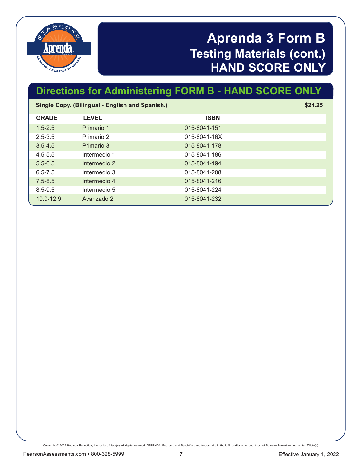

# **Aprenda 3 Form B Testing Materials (cont.) HAND SCORE ONLY**

# **Directions for Administering FORM B - HAND SCORE ONLY**

| Single Copy. (Bilingual - English and Spanish.) |              |              | \$24.25 |
|-------------------------------------------------|--------------|--------------|---------|
| <b>GRADE</b>                                    | <b>LEVEL</b> | <b>ISBN</b>  |         |
| $1.5 - 2.5$                                     | Primario 1   | 015-8041-151 |         |
| $2.5 - 3.5$                                     | Primario 2   | 015-8041-16X |         |
| $3.5 - 4.5$                                     | Primario 3   | 015-8041-178 |         |
| $4.5 - 5.5$                                     | Intermedio 1 | 015-8041-186 |         |
| $5.5 - 6.5$                                     | Intermedio 2 | 015-8041-194 |         |
| $6.5 - 7.5$                                     | Intermedio 3 | 015-8041-208 |         |
| $7.5 - 8.5$                                     | Intermedio 4 | 015-8041-216 |         |
| $8.5 - 9.5$                                     | Intermedio 5 | 015-8041-224 |         |
| $10.0 - 12.9$                                   | Avanzado 2   | 015-8041-232 |         |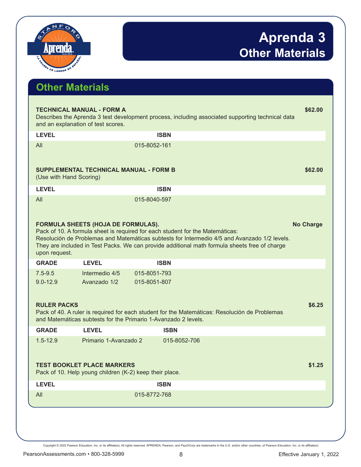

| <b>Other Materials</b>             |                                                                                              |              |                                                                                                                                                                                                                                                                                |                  |
|------------------------------------|----------------------------------------------------------------------------------------------|--------------|--------------------------------------------------------------------------------------------------------------------------------------------------------------------------------------------------------------------------------------------------------------------------------|------------------|
|                                    | <b>TECHNICAL MANUAL - FORM A</b><br>and an explanation of test scores.                       |              | Describes the Aprenda 3 test development process, including associated supporting technical data                                                                                                                                                                               | \$62.00          |
| <b>LEVEL</b>                       |                                                                                              | <b>ISBN</b>  |                                                                                                                                                                                                                                                                                |                  |
| All<br>(Use with Hand Scoring)     | <b>SUPPLEMENTAL TECHNICAL MANUAL - FORM B</b>                                                | 015-8052-161 |                                                                                                                                                                                                                                                                                | \$62.00          |
| <b>LEVEL</b>                       |                                                                                              | <b>ISBN</b>  |                                                                                                                                                                                                                                                                                |                  |
|                                    |                                                                                              |              |                                                                                                                                                                                                                                                                                |                  |
| All<br>upon request.               | FORMULA SHEETS (HOJA DE FORMULAS).                                                           | 015-8040-597 | Pack of 10. A formula sheet is required for each student for the Matemáticas:<br>Resolución de Problemas and Matemáticas subtests for Intermedio 4/5 and Avanzado 1/2 levels.<br>They are included in Test Packs. We can provide additional math formula sheets free of charge | <b>No Charge</b> |
| <b>GRADE</b>                       | <b>LEVEL</b>                                                                                 | <b>ISBN</b>  |                                                                                                                                                                                                                                                                                |                  |
| $7.5 - 9.5$                        | Intermedio 4/5                                                                               | 015-8051-793 |                                                                                                                                                                                                                                                                                |                  |
| $9.0 - 12.9$<br><b>RULER PACKS</b> | Avanzado 1/2<br>and Matemáticas subtests for the Primario 1-Avanzado 2 levels.               | 015-8051-807 | Pack of 40. A ruler is required for each student for the Matemáticas: Resolución de Problemas                                                                                                                                                                                  | \$6.25           |
| <b>GRADE</b>                       | <b>LEVEL</b>                                                                                 | <b>ISBN</b>  |                                                                                                                                                                                                                                                                                |                  |
| $1.5 - 12.9$                       | Primario 1-Avanzado 2                                                                        |              | 015-8052-706                                                                                                                                                                                                                                                                   |                  |
|                                    | <b>TEST BOOKLET PLACE MARKERS</b><br>Pack of 10. Help young children (K-2) keep their place. |              |                                                                                                                                                                                                                                                                                | \$1.25           |
| <b>LEVEL</b>                       |                                                                                              | <b>ISBN</b>  |                                                                                                                                                                                                                                                                                |                  |
| All                                |                                                                                              | 015-8772-768 |                                                                                                                                                                                                                                                                                |                  |
|                                    |                                                                                              |              |                                                                                                                                                                                                                                                                                |                  |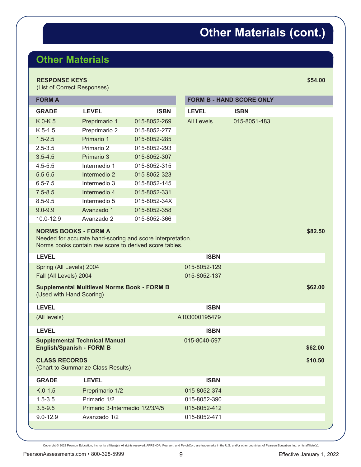# **Other Materials (cont.)**

## **Other Materials**

#### **RESPONSE KEYS** \$54.00

(List of Correct Responses)

| <b>FORM A</b>            |                                                                                                                                                     |              |                   | <b>FORM B - HAND SCORE ONLY</b> |         |
|--------------------------|-----------------------------------------------------------------------------------------------------------------------------------------------------|--------------|-------------------|---------------------------------|---------|
| <b>GRADE</b>             | <b>LEVEL</b>                                                                                                                                        | <b>ISBN</b>  | <b>LEVEL</b>      | <b>ISBN</b>                     |         |
| $K.0-K.5$                | Preprimario 1                                                                                                                                       | 015-8052-269 | <b>All Levels</b> | 015-8051-483                    |         |
| $K.5-1.5$                | Preprimario 2                                                                                                                                       | 015-8052-277 |                   |                                 |         |
| $1.5 - 2.5$              | Primario 1                                                                                                                                          | 015-8052-285 |                   |                                 |         |
| $2.5 - 3.5$              | Primario 2                                                                                                                                          | 015-8052-293 |                   |                                 |         |
| $3.5 - 4.5$              | Primario 3                                                                                                                                          | 015-8052-307 |                   |                                 |         |
| $4.5 - 5.5$              | Intermedio 1                                                                                                                                        | 015-8052-315 |                   |                                 |         |
| $5.5 - 6.5$              | Intermedio 2                                                                                                                                        | 015-8052-323 |                   |                                 |         |
| $6.5 - 7.5$              | Intermedio 3                                                                                                                                        | 015-8052-145 |                   |                                 |         |
| $7.5 - 8.5$              | Intermedio 4                                                                                                                                        | 015-8052-331 |                   |                                 |         |
| $8.5 - 9.5$              | Intermedio 5                                                                                                                                        | 015-8052-34X |                   |                                 |         |
| $9.0 - 9.9$              | Avanzado 1                                                                                                                                          | 015-8052-358 |                   |                                 |         |
| 10.0-12.9                | Avanzado 2                                                                                                                                          | 015-8052-366 |                   |                                 |         |
|                          | <b>NORMS BOOKS - FORM A</b><br>Needed for accurate hand-scoring and score interpretation.<br>Norms books contain raw score to derived score tables. |              |                   |                                 | \$82.50 |
| <b>LEVEL</b>             |                                                                                                                                                     |              | <b>ISBN</b>       |                                 |         |
| Spring (All Levels) 2004 |                                                                                                                                                     | 015-8052-129 |                   |                                 |         |
| Fall (All Levels) 2004   |                                                                                                                                                     | 015-8052-137 |                   |                                 |         |
| (Used with Hand Scoring) | <b>Supplemental Multilevel Norms Book - FORM B</b>                                                                                                  |              |                   |                                 | \$62.00 |
| <b>LEVEL</b>             |                                                                                                                                                     |              | <b>ISBN</b>       |                                 |         |
| (All levels)             |                                                                                                                                                     |              | A103000195479     |                                 |         |
| <b>LEVEL</b>             |                                                                                                                                                     |              | <b>ISBN</b>       |                                 |         |
|                          | <b>Supplemental Technical Manual</b><br><b>English/Spanish - FORM B</b>                                                                             |              | 015-8040-597      |                                 | \$62.00 |
| <b>CLASS RECORDS</b>     | (Chart to Summarize Class Results)                                                                                                                  |              |                   |                                 | \$10.50 |
| <b>GRADE</b>             | <b>LEVEL</b>                                                                                                                                        |              | <b>ISBN</b>       |                                 |         |
| $K.0-1.5$                | Preprimario 1/2                                                                                                                                     |              | 015-8052-374      |                                 |         |
| $1.5 - 3.5$              | Primario 1/2                                                                                                                                        |              | 015-8052-390      |                                 |         |
| $3.5 - 9.5$              | Primario 3-Intermedio 1/2/3/4/5                                                                                                                     |              | 015-8052-412      |                                 |         |
| $9.0 - 12.9$             | Avanzado 1/2                                                                                                                                        |              | 015-8052-471      |                                 |         |
|                          |                                                                                                                                                     |              |                   |                                 |         |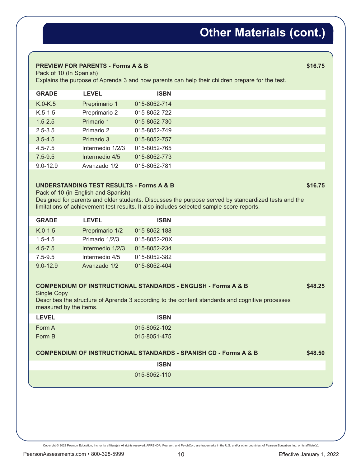# **Other Materials (cont.)**

#### **PREVIEW FOR PARENTS - Forms A & B \$16.75 \$16.75**

Pack of 10 (In Spanish)

Explains the purpose of Aprenda 3 and how parents can help their children prepare for the test.

| <b>GRADE</b> | <b>LEVEL</b>     | <b>ISBN</b>  |
|--------------|------------------|--------------|
| $K.0-K.5$    | Preprimario 1    | 015-8052-714 |
| $K.5-1.5$    | Preprimario 2    | 015-8052-722 |
| $1.5 - 2.5$  | Primario 1       | 015-8052-730 |
| $2.5 - 3.5$  | Primario 2       | 015-8052-749 |
| $3.5 - 4.5$  | Primario 3       | 015-8052-757 |
| $4.5 - 7.5$  | Intermedio 1/2/3 | 015-8052-765 |
| $7.5 - 9.5$  | Intermedio 4/5   | 015-8052-773 |
| $9.0 - 12.9$ | Avanzado 1/2     | 015-8052-781 |

#### **UNDERSTANDING TEST RESULTS - Forms A & B \$16.75** \$16.75

Pack of 10 (in English and Spanish)

Designed for parents and older students. Discusses the purpose served by standardized tests and the limitations of achievement test results. It also includes selected sample score reports.

| <b>GRADE</b> | <b>LEVEL</b>     | <b>ISBN</b>  |
|--------------|------------------|--------------|
| $K.0-1.5$    | Preprimario 1/2  | 015-8052-188 |
| $1.5 - 4.5$  | Primario 1/2/3   | 015-8052-20X |
| $4.5 - 7.5$  | Intermedio 1/2/3 | 015-8052-234 |
| $7.5 - 9.5$  | Intermedio 4/5   | 015-8052-382 |
| $9.0 - 12.9$ | Avanzado 1/2     | 015-8052-404 |

#### **COMPENDIUM OF INSTRUCTIONAL STANDARDS - ENGLISH - Forms A & B \$48.25**

Single Copy

Describes the structure of Aprenda 3 according to the content standards and cognitive processes measured by the items.

| <b>LEVEL</b> | <b>ISBN</b>  |  |
|--------------|--------------|--|
| Form A       | 015-8052-102 |  |
| Form B       | 015-8051-475 |  |

#### **COMPENDIUM OF INSTRUCTIONAL STANDARDS - SPANISH CD - Forms A & B \$48.50**

 **ISBN** 

015-8052-110